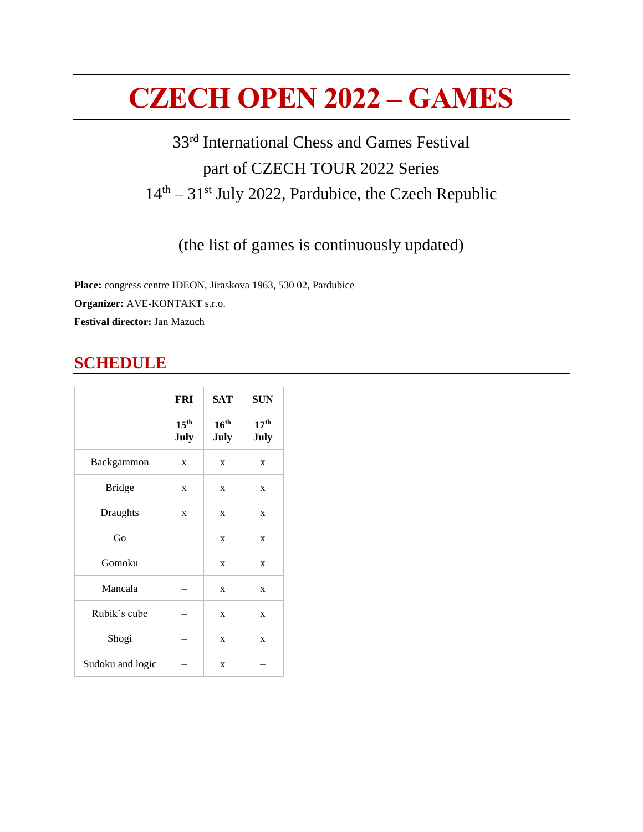# **CZECH OPEN 2022 – GAMES**

## 33<sup>rd</sup> International Chess and Games Festival part of CZECH TOUR 2022 Series 14<sup>th</sup> – 31<sup>st</sup> July 2022, Pardubice, the Czech Republic

(the list of games is continuously updated)

**Place:** congress centre IDEON, Jiraskova 1963, 530 02, Pardubice **Organizer:** AVE-KONTAKT s.r.o. **Festival director:** Jan Mazuch

## **SCHEDULE**

|                  | <b>FRI</b>               | <b>SAT</b>               | <b>SUN</b>                      |
|------------------|--------------------------|--------------------------|---------------------------------|
|                  | 15 <sup>th</sup><br>July | 16 <sup>th</sup><br>July | 17 <sup>th</sup><br><b>July</b> |
| Backgammon       | X                        | X                        | X                               |
| <b>Bridge</b>    | X                        | X                        | X                               |
| Draughts         | X                        | X                        | X                               |
| Go               |                          | X                        | X                               |
| Gomoku           |                          | X                        | X                               |
| Mancala          |                          | X                        | X                               |
| Rubik's cube     |                          | X                        | X                               |
| Shogi            |                          | X                        | X                               |
| Sudoku and logic |                          | X                        |                                 |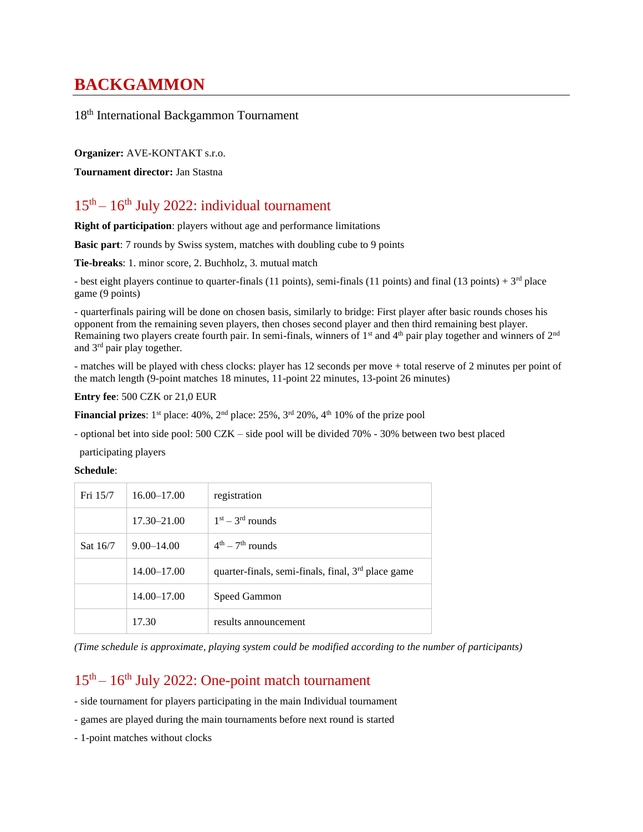## **BACKGAMMON**

18 th International Backgammon Tournament

**Organizer:** AVE-KONTAKT s.r.o.

**Tournament director:** Jan Stastna

## 15<sup>th</sup> – 16<sup>th</sup> July 2022: individual tournament

**Right of participation**: players without age and performance limitations

**Basic part**: 7 rounds by Swiss system, matches with doubling cube to 9 points

**Tie-breaks**: 1. minor score, 2. Buchholz, 3. mutual match

- best eight players continue to quarter-finals (11 points), semi-finals (11 points) and final (13 points) +  $3<sup>rd</sup>$  place game (9 points)

- quarterfinals pairing will be done on chosen basis, similarly to bridge: First player after basic rounds choses his opponent from the remaining seven players, then choses second player and then third remaining best player. Remaining two players create fourth pair. In semi-finals, winners of  $1<sup>st</sup>$  and  $4<sup>th</sup>$  pair play together and winners of  $2<sup>nd</sup>$ and 3rd pair play together.

- matches will be played with chess clocks: player has 12 seconds per move + total reserve of 2 minutes per point of the match length (9-point matches 18 minutes, 11-point 22 minutes, 13-point 26 minutes)

**Entry fee**: 500 CZK or 21,0 EUR

**Financial prizes**:  $1^{st}$  place:  $40\%$ ,  $2^{nd}$  place:  $25\%$ ,  $3^{rd}$   $20\%$ ,  $4^{th}$   $10\%$  of the prize pool

- optional bet into side pool: 500 CZK – side pool will be divided 70% - 30% between two best placed

participating players

**Schedule**:

| Fri 15/7 | $16.00 - 17.00$ | registration                                                   |
|----------|-----------------|----------------------------------------------------------------|
|          | $17.30 - 21.00$ | $1st - 3rd$ rounds                                             |
| Sat 16/7 | $9.00 - 14.00$  | $4th - 7th$ rounds                                             |
|          | $14.00 - 17.00$ | quarter-finals, semi-finals, final, 3 <sup>rd</sup> place game |
|          | $14.00 - 17.00$ | Speed Gammon                                                   |
|          | 17.30           | results announcement                                           |

*(Time schedule is approximate, playing system could be modified according to the number of participants)*

## 15<sup>th</sup> – 16<sup>th</sup> July 2022: One-point match tournament

- side tournament for players participating in the main Individual tournament

- games are played during the main tournaments before next round is started

- 1-point matches without clocks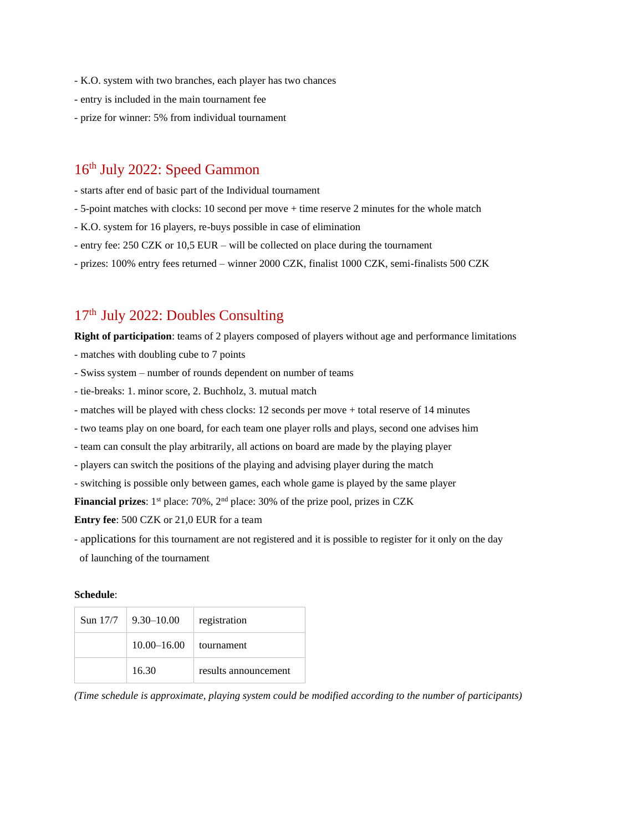- K.O. system with two branches, each player has two chances
- entry is included in the main tournament fee
- prize for winner: 5% from individual tournament

### 16<sup>th</sup> July 2022: Speed Gammon

- starts after end of basic part of the Individual tournament
- 5-point matches with clocks: 10 second per move + time reserve 2 minutes for the whole match
- K.O. system for 16 players, re-buys possible in case of elimination
- entry fee: 250 CZK or 10,5 EUR will be collected on place during the tournament
- prizes: 100% entry fees returned winner 2000 CZK, finalist 1000 CZK, semi-finalists 500 CZK

## 17<sup>th</sup> July 2022: Doubles Consulting

**Right of participation**: teams of 2 players composed of players without age and performance limitations

- matches with doubling cube to 7 points
- Swiss system number of rounds dependent on number of teams
- tie-breaks: 1. minor score, 2. Buchholz, 3. mutual match
- matches will be played with chess clocks: 12 seconds per move + total reserve of 14 minutes
- two teams play on one board, for each team one player rolls and plays, second one advises him
- team can consult the play arbitrarily, all actions on board are made by the playing player
- players can switch the positions of the playing and advising player during the match
- switching is possible only between games, each whole game is played by the same player

**Financial prizes**: 1<sup>st</sup> place: 70%, 2<sup>nd</sup> place: 30% of the prize pool, prizes in CZK

**Entry fee**: 500 CZK or 21,0 EUR for a team

- applications for this tournament are not registered and it is possible to register for it only on the day
- of launching of the tournament

#### **Schedule**:

| Sun 17/7 | $9.30 - 10.00$  | registration         |
|----------|-----------------|----------------------|
|          | $10.00 - 16.00$ | tournament           |
|          | 16.30           | results announcement |

*(Time schedule is approximate, playing system could be modified according to the number of participants)*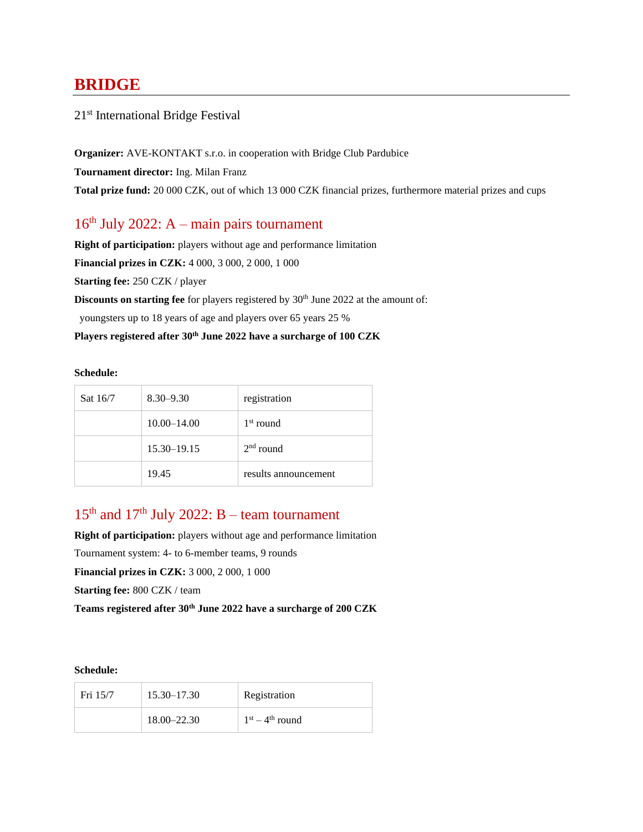## **BRIDGE**

### 21<sup>st</sup> International Bridge Festival

**Organizer:** AVE-KONTAKT s.r.o. in cooperation with Bridge Club Pardubice **Tournament director:** Ing. Milan Franz **Total prize fund:** 20 000 CZK, out of which 13 000 CZK financial prizes, furthermore material prizes and cups

### 16 th July 2022: A – main pairs tournament

**Right of participation:** players without age and performance limitation **Financial prizes in CZK:** 4 000, 3 000, 2 000, 1 000 **Starting fee:** 250 CZK / player **Discounts on starting fee** for players registered by 30<sup>th</sup> June 2022 at the amount of:

youngsters up to 18 years of age and players over 65 years 25 %

#### **Players registered after 30th June 2022 have a surcharge of 100 CZK**

#### **Schedule:**

| Sat 16/7 | $8.30 - 9.30$   | registration         |
|----------|-----------------|----------------------|
|          | $10.00 - 14.00$ | $1st$ round          |
|          | $15.30 - 19.15$ | $2nd$ round          |
|          | 19.45           | results announcement |

### $15<sup>th</sup>$  and  $17<sup>th</sup>$  July 2022: B – team tournament

**Right of participation:** players without age and performance limitation Tournament system: 4- to 6-member teams, 9 rounds **Financial prizes in CZK:** 3 000, 2 000, 1 000 **Starting fee:** 800 CZK / team **Teams registered after 30th June 2022 have a surcharge of 200 CZK**

| Fri 15/7 | $15.30 - 17.30$ | Registration      |
|----------|-----------------|-------------------|
|          | $18.00 - 22.30$ | $1st - 4th$ round |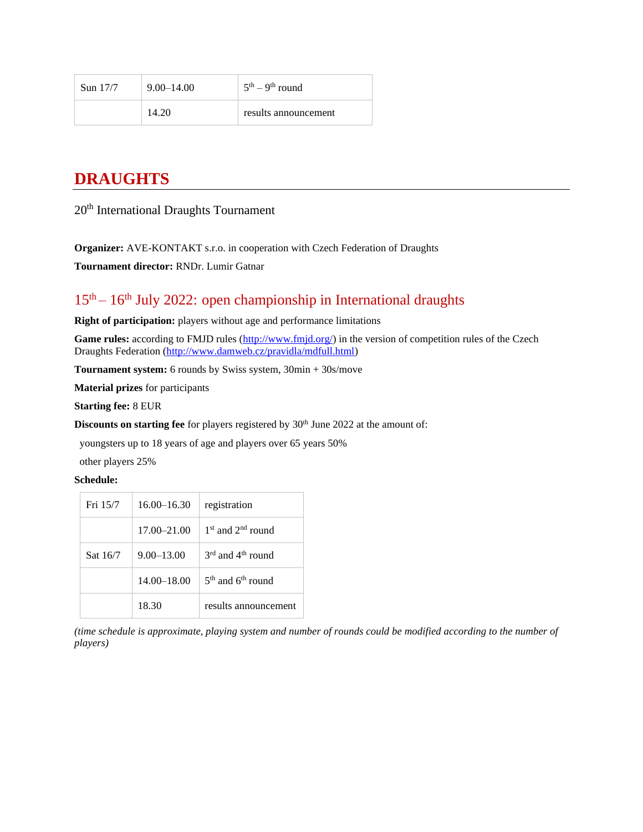| Sun 17/7 | $9.00 - 14.00$ | $5th - 9th$ round    |
|----------|----------------|----------------------|
|          | 14.20          | results announcement |

## **DRAUGHTS**

### 20<sup>th</sup> International Draughts Tournament

**Organizer:** AVE-KONTAKT s.r.o. in cooperation with Czech Federation of Draughts

**Tournament director:** RNDr. Lumir Gatnar

## 15<sup>th</sup> – 16<sup>th</sup> July 2022: open championship in International draughts

**Right of participation:** players without age and performance limitations

Game rules: according to FMJD rules [\(http://www.fmjd.org/\)](http://www.fmjd.org/) in the version of competition rules of the Czech Draughts Federation [\(http://www.damweb.cz/pravidla/mdfull.html\)](http://www.damweb.cz/pravidla/mdfull.html)

**Tournament system:** 6 rounds by Swiss system, 30min + 30s/move

**Material prizes** for participants

**Starting fee:** 8 EUR

**Discounts on starting fee** for players registered by 30<sup>th</sup> June 2022 at the amount of:

youngsters up to 18 years of age and players over 65 years 50%

other players 25%

#### **Schedule:**

| Fri 15/7 | $16.00 - 16.30$ | registration                              |
|----------|-----------------|-------------------------------------------|
|          | $17.00 - 21.00$ | $1st$ and $2nd$ round                     |
| Sat 16/7 | $9.00 - 13.00$  | $3^{\text{rd}}$ and $4^{\text{th}}$ round |
|          | $14.00 - 18.00$ | $5th$ and $6th$ round                     |
|          | 18.30           | results announcement                      |

*(time schedule is approximate, playing system and number of rounds could be modified according to the number of players)*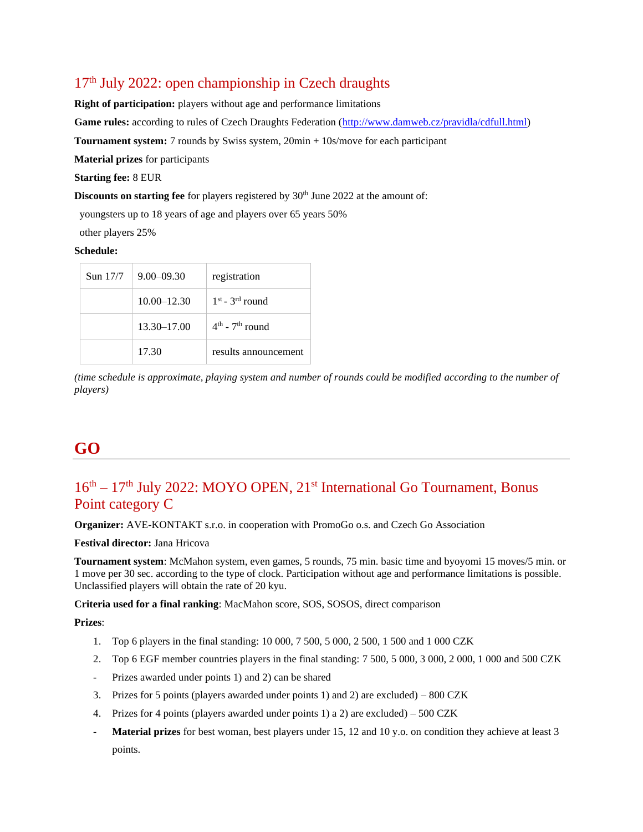## 17 th July 2022: open championship in Czech draughts

**Right of participation:** players without age and performance limitations **Game rules:** according to rules of Czech Draughts Federation [\(http://www.damweb.cz/pravidla/cdfull.html\)](http://www.damweb.cz/pravidla/cdfull.html) **Tournament system:** 7 rounds by Swiss system, 20min + 10s/move for each participant **Material prizes** for participants **Starting fee:** 8 EUR

**Discounts on starting fee** for players registered by 30<sup>th</sup> June 2022 at the amount of:

youngsters up to 18 years of age and players over 65 years 50%

other players 25%

#### **Schedule:**

| Sun 17/7 | $9.00 - 09.30$  | registration         |
|----------|-----------------|----------------------|
|          | $10.00 - 12.30$ | $1st$ - $3rd$ round  |
|          | $13.30 - 17.00$ | $4th$ - $7th$ round  |
|          | 17.30           | results announcement |

*(time schedule is approximate, playing system and number of rounds could be modified according to the number of players)*

## **GO**

## 16<sup>th</sup> – 17<sup>th</sup> July 2022: MOYO OPEN, 21<sup>st</sup> International Go Tournament, Bonus Point category C

**Organizer:** AVE-KONTAKT s.r.o. in cooperation with PromoGo o.s. and Czech Go Association

**Festival director:** Jana Hricova

**Tournament system**: McMahon system, even games, 5 rounds, 75 min. basic time and byoyomi 15 moves/5 min. or 1 move per 30 sec. according to the type of clock. Participation without age and performance limitations is possible. Unclassified players will obtain the rate of 20 kyu.

**Criteria used for a final ranking**: MacMahon score, SOS, SOSOS, direct comparison

**Prizes**:

- 1. Top 6 players in the final standing: 10 000, 7 500, 5 000, 2 500, 1 500 and 1 000 CZK
- 2. Top 6 EGF member countries players in the final standing: 7 500, 5 000, 3 000, 2 000, 1 000 and 500 CZK
- Prizes awarded under points 1) and 2) can be shared
- 3. Prizes for 5 points (players awarded under points 1) and 2) are excluded) 800 CZK
- 4. Prizes for 4 points (players awarded under points 1) a 2) are excluded) 500 CZK
- **Material prizes** for best woman, best players under 15, 12 and 10 y.o. on condition they achieve at least 3 points.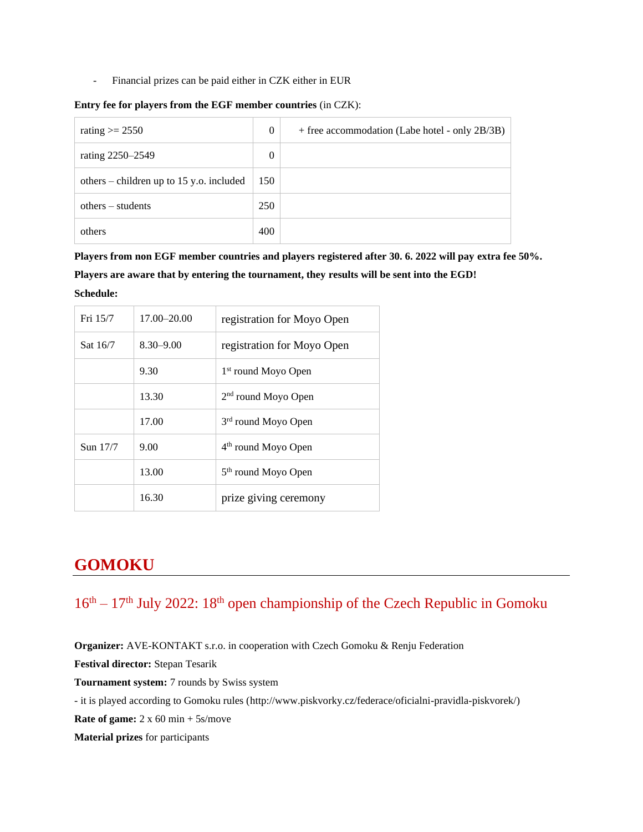Financial prizes can be paid either in CZK either in EUR

| Entry fee for players from the EGF member countries (in CZK): |  |  |  |
|---------------------------------------------------------------|--|--|--|
|                                                               |  |  |  |

| rating $\ge$ 2550                        | $\theta$ | + free accommodation (Labe hotel - only 2B/3B) |
|------------------------------------------|----------|------------------------------------------------|
| rating 2250–2549                         | 0        |                                                |
| others – children up to 15 y.o. included | 150      |                                                |
| $others - students$                      | 250      |                                                |
| others                                   | 400      |                                                |

**Players from non EGF member countries and players registered after 30. 6. 2022 will pay extra fee 50%. Players are aware that by entering the tournament, they results will be sent into the EGD! Schedule:**

| Fri 15/7 | 17.00–20.00   | registration for Moyo Open      |
|----------|---------------|---------------------------------|
| Sat 16/7 | $8.30 - 9.00$ | registration for Moyo Open      |
|          | 9.30          | 1 <sup>st</sup> round Moyo Open |
|          | 13.30         | $2nd$ round Moyo Open           |
|          | 17.00         | 3 <sup>rd</sup> round Moyo Open |
| Sun 17/7 | 9.00          | 4 <sup>th</sup> round Moyo Open |
|          | 13.00         | 5 <sup>th</sup> round Moyo Open |
|          | 16.30         | prize giving ceremony           |

## **GOMOKU**

 $16<sup>th</sup> - 17<sup>th</sup>$  July 2022:  $18<sup>th</sup>$  open championship of the Czech Republic in Gomoku

**Organizer:** AVE-KONTAKT s.r.o. in cooperation with Czech Gomoku & Renju Federation

**Festival director:** Stepan Tesarik

**Tournament system:** 7 rounds by Swiss system

- it is played according to Gomoku rules [\(http://www.piskvorky.cz/federace/oficialni-pravidla-piskvorek/\)](http://www.piskvorky.cz/federace/oficialni-pravidla-piskvorek/)

**Rate of game:** 2 x 60 min + 5s/move

**Material prizes** for participants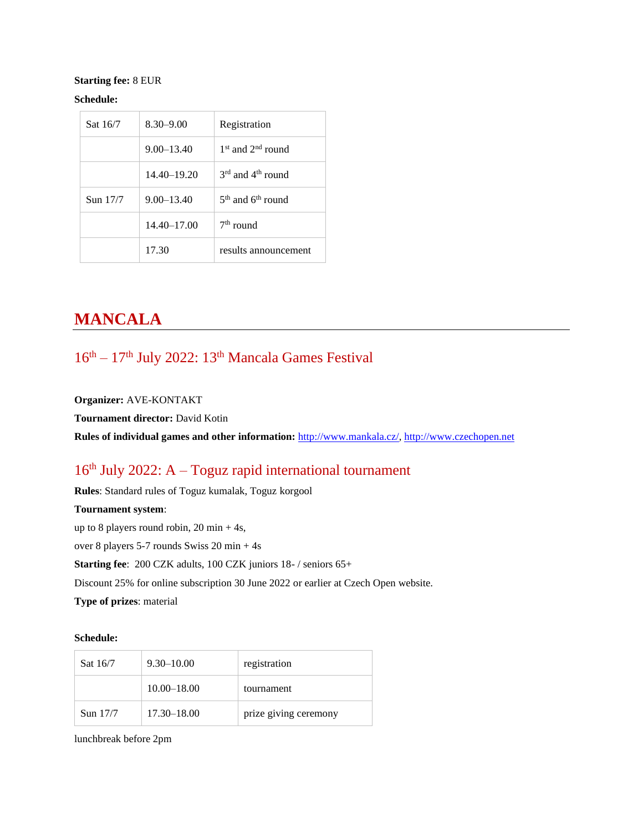#### **Starting fee:** 8 EUR

#### **Schedule:**

| Sat 16/7 | $8.30 - 9.00$   | Registration                              |
|----------|-----------------|-------------------------------------------|
|          | $9.00 - 13.40$  | $1st$ and $2nd$ round                     |
|          | $14.40 - 19.20$ | $3^{\text{rd}}$ and $4^{\text{th}}$ round |
| Sun 17/7 | $9.00 - 13.40$  | $5th$ and $6th$ round                     |
|          | $14.40 - 17.00$ | $7th$ round                               |
|          | 17.30           | results announcement                      |

## **MANCALA**

### 16<sup>th</sup> – 17<sup>th</sup> July 2022: 13<sup>th</sup> Mancala Games Festival

#### **Organizer:** AVE-KONTAKT

**Tournament director:** David Kotin

**Rules of individual games and other information:** [http://www.mankala.cz/,](http://www.mankala.cz/) [http://www.czechopen.net](http://www.czechopen.net/)

## 16 th July 2022: A – Toguz rapid international tournament

**Rules**: Standard rules of Toguz kumalak, Toguz korgool

#### **Tournament system**:

up to 8 players round robin, 20 min + 4s,

over 8 players 5-7 rounds Swiss 20 min + 4s

**Starting fee**: 200 CZK adults, 100 CZK juniors 18- / seniors 65+

Discount 25% for online subscription 30 June 2022 or earlier at Czech Open website.

**Type of prizes**: material

#### **Schedule:**

| Sat 16/7   | $9.30 - 10.00$  | registration          |  |  |
|------------|-----------------|-----------------------|--|--|
|            | $10.00 - 18.00$ | tournament            |  |  |
| Sun $17/7$ | $17.30 - 18.00$ | prize giving ceremony |  |  |

lunchbreak before 2pm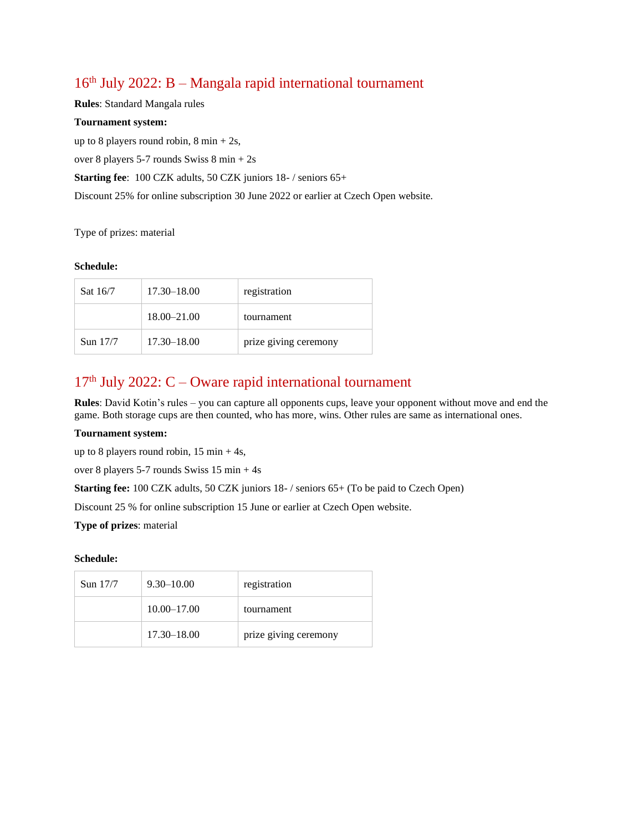## 16 th July 2022: B – Mangala rapid international tournament

**Rules**: Standard Mangala rules

#### **Tournament system:**

up to 8 players round robin,  $8 \text{ min} + 2 \text{s}$ ,

over 8 players 5-7 rounds Swiss 8 min + 2s

**Starting fee**: 100 CZK adults, 50 CZK juniors 18- / seniors 65+

Discount 25% for online subscription 30 June 2022 or earlier at Czech Open website.

Type of prizes: material

#### **Schedule:**

| Sat 16/7 | $17.30 - 18.00$ | registration          |  |  |
|----------|-----------------|-----------------------|--|--|
|          | $18.00 - 21.00$ | tournament            |  |  |
| Sun 17/7 | $17.30 - 18.00$ | prize giving ceremony |  |  |

## $17<sup>th</sup>$  July 2022: C – Oware rapid international tournament

**Rules**: David Kotin's rules – you can capture all opponents cups, leave your opponent without move and end the game. Both storage cups are then counted, who has more, wins. Other rules are same as international ones.

#### **Tournament system:**

up to 8 players round robin,  $15 \text{ min} + 4 \text{s}$ ,

over 8 players 5-7 rounds Swiss 15 min + 4s

**Starting fee:** 100 CZK adults, 50 CZK juniors 18- / seniors 65+ (To be paid to Czech Open)

Discount 25 % for online subscription 15 June or earlier at Czech Open website.

**Type of prizes**: material

| Sun $17/7$ | $9.30 - 10.00$  | registration          |  |  |
|------------|-----------------|-----------------------|--|--|
|            | $10.00 - 17.00$ | tournament            |  |  |
|            | $17.30 - 18.00$ | prize giving ceremony |  |  |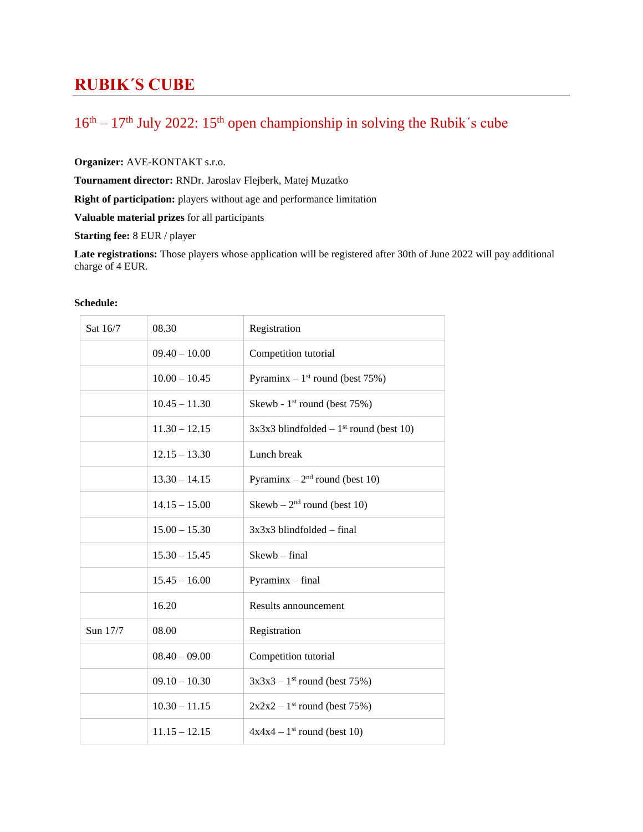## **RUBIK´S CUBE**

## $16<sup>th</sup> - 17<sup>th</sup>$  July 2022:  $15<sup>th</sup>$  open championship in solving the Rubik's cube

**Organizer:** AVE-KONTAKT s.r.o.

**Tournament director:** RNDr. Jaroslav Flejberk, Matej Muzatko

**Right of participation:** players without age and performance limitation

**Valuable material prizes** for all participants

**Starting fee:** 8 EUR / player

**Late registrations:** Those players whose application will be registered after 30th of June 2022 will pay additional charge of 4 EUR.

| Sat 16/7 | 08.30           | Registration                                          |  |  |
|----------|-----------------|-------------------------------------------------------|--|--|
|          | $09.40 - 10.00$ | Competition tutorial                                  |  |  |
|          | $10.00 - 10.45$ | Pyraminx $-1$ <sup>st</sup> round (best 75%)          |  |  |
|          | $10.45 - 11.30$ | Skewb - 1 <sup>st</sup> round (best 75%)              |  |  |
|          | $11.30 - 12.15$ | $3x3x3$ blindfolded – 1 <sup>st</sup> round (best 10) |  |  |
|          | $12.15 - 13.30$ | Lunch break                                           |  |  |
|          | $13.30 - 14.15$ | Pyraminx – $2nd$ round (best 10)                      |  |  |
|          | $14.15 - 15.00$ | Skewb – $2nd$ round (best 10)                         |  |  |
|          | $15.00 - 15.30$ | $3x3x3$ blindfolded – final                           |  |  |
|          | $15.30 - 15.45$ | $Skewb - final$                                       |  |  |
|          | $15.45 - 16.00$ | $Pyraminx - final$                                    |  |  |
|          | 16.20           | Results announcement                                  |  |  |
| Sun 17/7 | 08.00           | Registration                                          |  |  |
|          | $08.40 - 09.00$ | Competition tutorial                                  |  |  |
|          | $09.10 - 10.30$ | $3x3x3 - 1$ <sup>st</sup> round (best 75%)            |  |  |
|          | $10.30 - 11.15$ | $2x2x2 - 1$ <sup>st</sup> round (best 75%)            |  |  |
|          | $11.15 - 12.15$ | $4x4x4 - 1$ <sup>st</sup> round (best 10)             |  |  |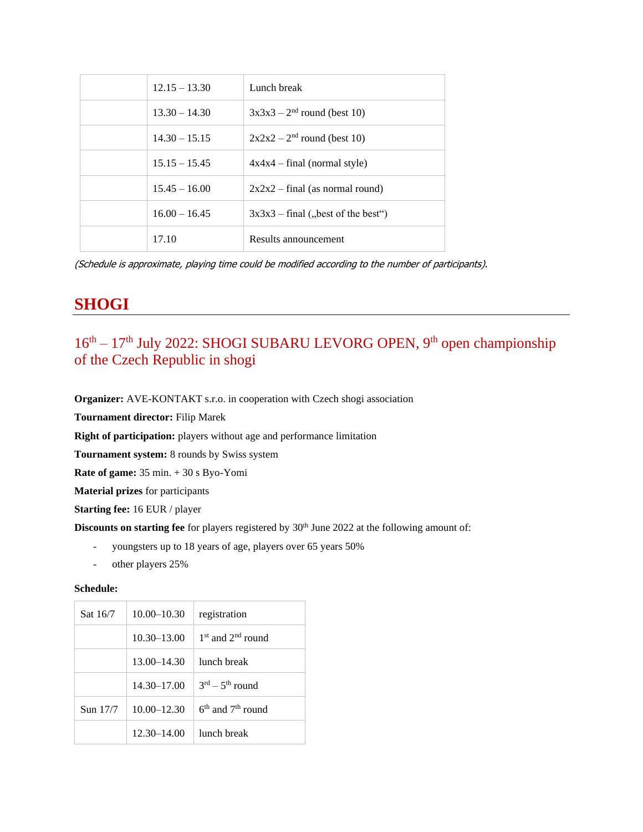|  | $12.15 - 13.30$ | Lunch break                          |
|--|-----------------|--------------------------------------|
|  | $13.30 - 14.30$ | $3x3x3 - 2^{nd}$ round (best 10)     |
|  | $14.30 - 15.15$ | $2x2x2 - 2nd$ round (best 10)        |
|  | $15.15 - 15.45$ | $4x4x4 - final$ (normal style)       |
|  | $15.45 - 16.00$ | $2x2x2$ – final (as normal round)    |
|  | $16.00 - 16.45$ | $3x3x3 - final$ , best of the best") |
|  | 17.10           | Results announcement                 |

(Schedule is approximate, playing time could be modified according to the number of participants).

## **SHOGI**

## 16<sup>th</sup> – 17<sup>th</sup> July 2022: SHOGI SUBARU LEVORG OPEN, 9<sup>th</sup> open championship of the Czech Republic in shogi

**Organizer:** AVE-KONTAKT s.r.o. in cooperation with Czech shogi association

**Tournament director:** Filip Marek

**Right of participation:** players without age and performance limitation

**Tournament system:** 8 rounds by Swiss system

**Rate of game:** 35 min. + 30 s Byo-Yomi

**Material prizes** for participants

**Starting fee:** 16 EUR / player

**Discounts on starting fee** for players registered by 30<sup>th</sup> June 2022 at the following amount of:

- youngsters up to 18 years of age, players over 65 years 50%
- other players 25%

| Sat 16/7 | $10.00 - 10.30$ | registration                          |
|----------|-----------------|---------------------------------------|
|          | $10.30 - 13.00$ | $1st$ and $2nd$ round                 |
|          | $13.00 - 14.30$ | lunch break                           |
|          | 14.30-17.00     | $3^{\text{rd}} - 5^{\text{th}}$ round |
| Sun 17/7 | $10.00 - 12.30$ | $6th$ and $7th$ round                 |
|          | $12.30 - 14.00$ | lunch break                           |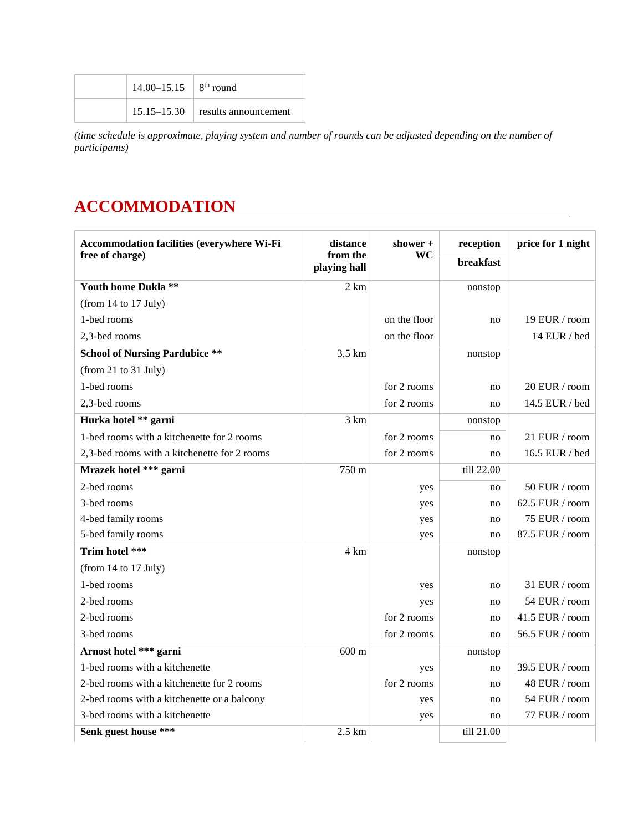| $14.00 - 15.15$   8 <sup>th</sup> round |                                      |  |
|-----------------------------------------|--------------------------------------|--|
|                                         | $15.15 - 15.30$ results announcement |  |

*(time schedule is approximate, playing system and number of rounds can be adjusted depending on the number of participants)*

## **ACCOMMODATION**

| Accommodation facilities (everywhere Wi-Fi   | distance                 | shower +     | reception        | price for 1 night |
|----------------------------------------------|--------------------------|--------------|------------------|-------------------|
| free of charge)                              | from the<br>playing hall | WC           | <b>breakfast</b> |                   |
| Youth home Dukla **                          | 2 km                     |              | nonstop          |                   |
| (from 14 to 17 July)                         |                          |              |                  |                   |
| 1-bed rooms                                  |                          | on the floor | no               | 19 EUR / room     |
| 2,3-bed rooms                                |                          | on the floor |                  | 14 EUR / bed      |
| <b>School of Nursing Pardubice **</b>        | $3.5 \mathrm{km}$        |              | nonstop          |                   |
| (from 21 to 31 July)                         |                          |              |                  |                   |
| 1-bed rooms                                  |                          | for 2 rooms  | no               | 20 EUR / room     |
| 2,3-bed rooms                                |                          | for 2 rooms  | no               | 14.5 EUR / bed    |
| Hurka hotel ** garni                         | 3 km                     |              | nonstop          |                   |
| 1-bed rooms with a kitchenette for 2 rooms   |                          | for 2 rooms  | no               | 21 EUR / room     |
| 2,3-bed rooms with a kitchenette for 2 rooms |                          | for 2 rooms  | no               | 16.5 EUR / bed    |
| Mrazek hotel *** garni                       | 750 m                    |              | till 22.00       |                   |
| 2-bed rooms                                  |                          | yes          | no               | 50 EUR / room     |
| 3-bed rooms                                  |                          | yes          | no               | 62.5 EUR / room   |
| 4-bed family rooms                           |                          | yes          | no               | 75 EUR / room     |
| 5-bed family rooms                           |                          | yes          | no               | 87.5 EUR / room   |
| Trim hotel ***                               | 4 km                     |              | nonstop          |                   |
| (from 14 to 17 July)                         |                          |              |                  |                   |
| 1-bed rooms                                  |                          | yes          | no               | 31 EUR / room     |
| 2-bed rooms                                  |                          | yes          | no               | 54 EUR / room     |
| 2-bed rooms                                  |                          | for 2 rooms  | no               | 41.5 EUR / room   |
| 3-bed rooms                                  |                          | for 2 rooms  | no               | 56.5 EUR / room   |
| Arnost hotel *** garni                       | $600 \text{ m}$          |              | nonstop          |                   |
| 1-bed rooms with a kitchenette               |                          | yes          | no               | 39.5 EUR / room   |
| 2-bed rooms with a kitchenette for 2 rooms   |                          | for 2 rooms  | no               | 48 EUR / room     |
| 2-bed rooms with a kitchenette or a balcony  |                          | yes          | no               | 54 EUR / room     |
| 3-bed rooms with a kitchenette               |                          | yes          | no               | 77 EUR / room     |
| Senk guest house ***                         | $2.5 \text{ km}$         |              | till 21.00       |                   |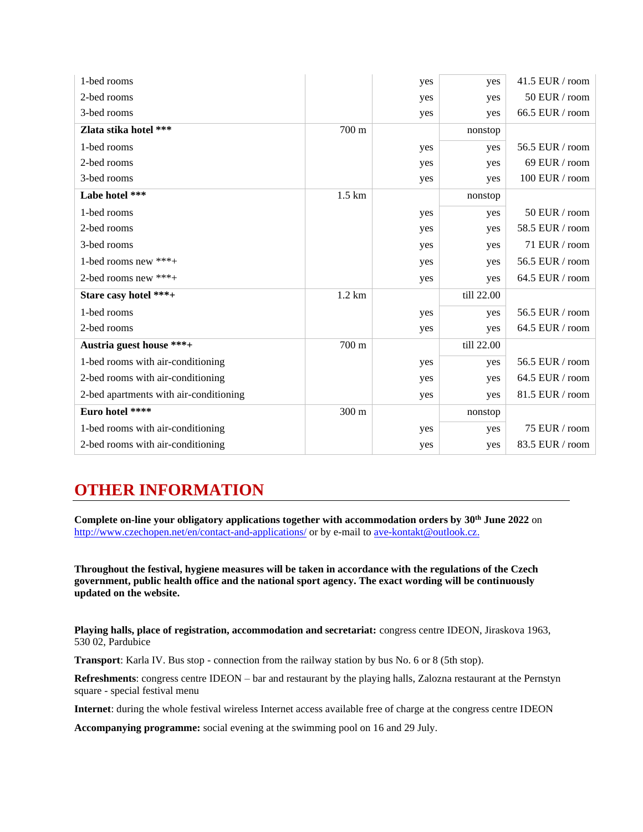| 1-bed rooms                            |                   | yes | yes        | 41.5 EUR / room |
|----------------------------------------|-------------------|-----|------------|-----------------|
| 2-bed rooms                            |                   | yes | yes        | 50 EUR / room   |
| 3-bed rooms                            |                   | yes | yes        | 66.5 EUR / room |
| Zlata stika hotel ***                  | 700 m             |     | nonstop    |                 |
| 1-bed rooms                            |                   | yes | yes        | 56.5 EUR / room |
| 2-bed rooms                            |                   | yes | yes        | 69 EUR / room   |
| 3-bed rooms                            |                   | yes | yes        | 100 EUR / room  |
| Labe hotel ***                         | $1.5 \mathrm{km}$ |     | nonstop    |                 |
| 1-bed rooms                            |                   | yes | yes        | 50 EUR / room   |
| 2-bed rooms                            |                   | yes | yes        | 58.5 EUR / room |
| 3-bed rooms                            |                   | yes | yes        | 71 EUR / room   |
| 1-bed rooms new ***+                   |                   | yes | yes        | 56.5 EUR / room |
| 2-bed rooms new $***+$                 |                   | yes | yes        | 64.5 EUR / room |
| Stare casy hotel ***+                  | $1.2 \text{ km}$  |     | till 22.00 |                 |
| 1-bed rooms                            |                   | yes | yes        | 56.5 EUR / room |
| 2-bed rooms                            |                   | yes | yes        | 64.5 EUR / room |
| Austria guest house ***+               | 700 m             |     | till 22.00 |                 |
| 1-bed rooms with air-conditioning      |                   | yes | yes        | 56.5 EUR / room |
| 2-bed rooms with air-conditioning      |                   | yes | yes        | 64.5 EUR / room |
| 2-bed apartments with air-conditioning |                   | yes | yes        | 81.5 EUR / room |
| Euro hotel ****                        | 300 m             |     | nonstop    |                 |
| 1-bed rooms with air-conditioning      |                   | yes | yes        | 75 EUR / room   |
| 2-bed rooms with air-conditioning      |                   | yes | yes        | 83.5 EUR / room |

## **OTHER INFORMATION**

**Complete on-line your obligatory applications together with accommodation orders by 30th June 2022** on <http://www.czechopen.net/en/contact-and-applications/> or by e-mail to [ave-kontakt@outlook.cz.](mailto:ave-kontakt@outlook.cz)

**Throughout the festival, hygiene measures will be taken in accordance with the regulations of the Czech government, public health office and the national sport agency. The exact wording will be continuously updated on the website.**

**Playing halls, place of registration, accommodation and secretariat:** congress centre IDEON, Jiraskova 1963, 530 02, Pardubice

**Transport**: Karla IV. Bus stop - connection from the railway station by bus No. 6 or 8 (5th stop).

**Refreshments**: congress centre IDEON – bar and restaurant by the playing halls, Zalozna restaurant at the Pernstyn square - special festival menu

**Internet**: during the whole festival wireless Internet access available free of charge at the congress centre IDEON

**Accompanying programme:** social evening at the swimming pool on 16 and 29 July.